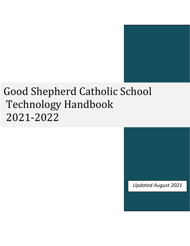# Good Shepherd Catholic School Technology Handbook 2021-2022

*Updated August 2021*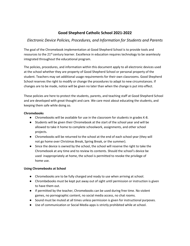# **Good Shepherd Catholic School 2021-2022**

# *Electronic Device Policies, Procedures, and Information for Students and Parents*

The goal of the Chromebook implementation at Good Shepherd School is to provide tools and resources to the 21<sup>st</sup> century learner. Excellence in education requires technology to be seamlessly integrated throughout the educational program.

The policies, procedures, and information within this document apply to all electronic devices used at the school whether they are property of Good Shepherd School or personal property of the student. Teachers may set additional usage requirements for their own classrooms. Good Shepherd School reserves the right to modify or change the procedures to adapt to new circumstances. If changes are to be made, notice will be given no later than when the change is put into effect.

These policies are here to protect the students, parents, and teaching staff at Good Shepherd School and are developed with great thought and care. We care most about educating the students, and keeping them safe while doing so.

## **Chromebooks**

- Chromebooks will be available for use in the classroom for students in grades K-8.
- Students will be given their Chromebook at the start of the school year and will be allowed to take it home to complete schoolwork, assignments, and other school projects.
- Chromebooks will be returned to the school at the end of each school year (they will not go home over Christmas Break, Spring Break, or the summer).
- Since the device is owned by the school, the school will reserve the right to take the Chromebook at any time and to review its contents. Should the school's device be used inappropriately at home, the school is permitted to revoke the privilege of home use.

# **Using Chromebooks at School**

- Chromebooks are to be fully charged and ready to use when arriving at school.
- Chrombebooks must be kept put away out of sight until permission or instruction is given to have them out.
- If permitted by the teacher, Chromebooks can be used during free time. No violent games, no pornographic content, no social media access, no chat rooms.
- Sound must be muted at all times unless permission is given for instructional purposes.
- Use of communication or Social Media apps is strictly prohibited while at school.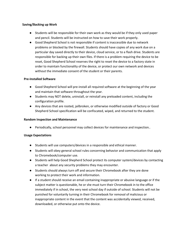#### **Saving/Backing up Work**

- Students will be responsible for their own work as they would be if they only used paper and pencil. Students will be instructed on how to save their work properly.
- Good Shepherd School is not responsible if content is inaccessible due to network problems or blocked by the firewall. Students should have copies of any work due on a particular day saved directly to their device, cloud service, or to a flash drive. Students are responsible for backing up their own files. If there is a problem requiring the device to be reset, Good Shepherd School reserves the right to reset the device to a factory state in order to maintain functionality of the device, or protect our own network and devices without the immediate consent of the student or their parents.

#### **Pre-Installed Software**

- Good Shepherd School will pre-install all required software at the beginning of the year and maintain that software throughout the year.
- Students may NOT delete, uninstall, or reinstall any preloaded content, including the configuration profile.
- Any devices that are rooted, jailbroken, or otherwise modified outside of factory or Good Shepherd School specification will be confiscated, wiped, and returned to the student.

#### **Random Inspection and Maintenance**

● Periodically, school personnel may collect devices for maintenance and inspection..

#### **Usage Expectations**

- Students will use computers/devices in a responsible and ethical manner.
- Students will obey general school rules concerning behavior and communication that apply to Chromebook/computer use.
- Students will help Good Shepherd School protect its computer system/devices by contacting a teacher about any security problems they may encounter.
- Students should always turn off and secure their Chromebook after they are done working to protect their work and information.
- If a student should receive an email containing inappropriate or abusive language or if the subject matter is questionable, he or she must turn their Chromebook in to the office immediately if in school, the very next school day if outside of school. Students will not be punished for voluntarily turning in their Chromebook for removal of malicious or inappropriate content in the event that the content was accidentally viewed, received, downloaded, or otherwise put onto the device.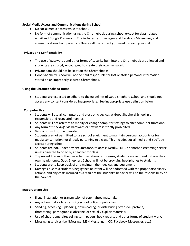#### **Social Media Access and Communications during School**

- No social media access while at school.
- No form of communication using the Chromebook during school except for class-related email and Google Classroom. This includes text messages and Facebook Messenger, and communications from parents. (Please call the office if you need to reach your child.)

# **Privacy and Confidentiality**

- The use of passwords and other forms of security built into the Chromebook are allowed and students are strongly encouraged to create their own password.
- Private data should not be kept on the Chromebooks.
- Good Shepherd School will not be held responsible for lost or stolen personal information stored on an improperly secured Chromebook.

## **Using the Chromebooks At Home**

● Students are expected to adhere to the guidelines of Good Shepherd School and should not access any content considered inappropriate. See inappropriate use definition below.

## **Computer Use**

- Students will use all computers and electronic devices at Good Shepherd School in a responsible and respectful manner.
- Students will not attempt to modify or change computer settings to alter computer functions.
- Any form of "hacking" via hardware or software is strictly prohibited.
- Vandalism will not be tolerated.
- Students are not permitted to use school equipment to maintain personal accounts or for media consumption not directly pertaining to a class. This includes social media and YouTube access during school.
- Students are not, under any circumstance, to access Netflix, Hulu, or another streaming service unless directed to do so by a teacher for class.
- To prevent lice and other parasite infestations or diseases, students are required to have their own headphones. Good Shepherd School will not be providing headphones to students.
- Students are to keep track of and maintain their devices and equipment.
- Damages due to a student's negligence or intent will be addressed with the proper disciplinary actions, and any costs incurred as a result of the student's behavior will be the responsibility of the parents.

#### **Inappropriate Use**

- Illegal installation or transmission of copyrighted materials.
- Any action that violates existing school policy or public law.
- Sending, accessing, uploading, downloading, or distributing offensive, profane, threatening, pornographic, obscene, or sexually explicit materials.
- Use of chat rooms, sites selling term papers, book reports and other forms of student work.
- Messaging services (i.e. iMessage, MSN Messenger, ICQ, Facebook Messenger, etc.)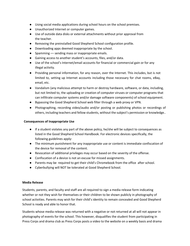- Using social media applications during school hours on the school premises.
- Unauthorized Internet or computer games.
- Use of outside data disks or external attachments without prior approval from the teacher.
- Removing the preinstalled Good Shepherd School configuration profile.
- Downloading apps deemed inappropriate by the school.
- Spamming sending mass or inappropriate emails.
- Gaining access to another student's accounts, files, and/or data.
- Use of the school's Internet/email accounts for financial or commercial gain or for any illegal activity.
- Providing personal information, for any reason, over the Internet. This includes, but is not limited to, setting up Internet accounts including those necessary for chat rooms, eBay, email, etc.
- Vandalism (any malicious attempt to harm or destroy hardware, software, or data, including, but not limited to, the uploading or creation of computer viruses or computer programs that can infiltrate computer systems and/or damage software components) of school equipment.
- Bypassing the Good Shepherd School web filter through a web proxy or VPN.
- Photographing, recording video/audio and/or posting or publishing photos or recordings of others, including teachers and fellow students, without the subject's permission or knowledge..

# **Consequences of Inappropriate Use**

- If a student violates any part of the above policy, he/she will be subject to consequences as listed in the Good Shepherd School Handbook. For electronic devices specifically, the following guidelines apply:
- The minimum punishment for any inappropriate use or content is immediate confiscation of the device for removal of the content.
- Revocation of additional privileges may occur based on the severity of the offense.
- Confiscation of a device is not an excuse for missed assignments.
- Parents may be required to get their child's Chromebook from the office after school.
- Cyberbullying will NOT be tolerated at Good Shepherd School.

#### **Media Release**

Students, parents, and faculty and staff are all required to sign a media release form indicating whether or not they wish for themselves or their children to be shown publicly in photography of school activities. Parents may wish for their child's identity to remain concealed and Good Shepherd School is ready and able to honor that.

Students whose media release was returned with a negative or not returned at all will not appear in photography of events for the school. This however, disqualifies the student from participating in Press Corps and drama club as Press Corps posts a video to the website on a weekly basis and drama